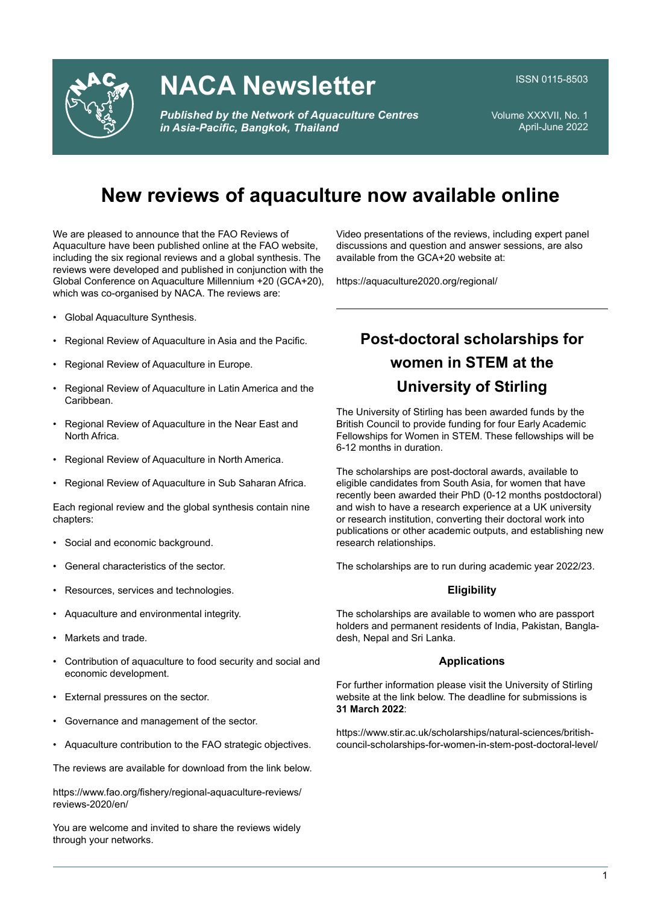

# **NACA Newsletter**

*Published by the Network of Aquaculture Centres in Asia-Pacific, Bangkok, Thailand* 

ISSN 0115-8503

Volume XXXVII, No. 1April-June 2022

## **New reviews of aquaculture now available online**

We are pleased to announce that the FAO Reviews of Aquaculture have been published online at the FAO website, including the six regional reviews and a global synthesis. The reviews were developed and published in conjunction with the Global Conference on Aquaculture Millennium +20 (GCA+20), which was co-organised by NACA. The reviews are:

- Global Aquaculture Synthesis.
- Regional Review of Aquaculture in Asia and the Pacific.
- Regional Review of Aquaculture in Europe.
- Regional Review of Aquaculture in Latin America and the Caribbean.
- Regional Review of Aquaculture in the Near East and North Africa.
- Regional Review of Aquaculture in North America.
- Regional Review of Aquaculture in Sub Saharan Africa.

Each regional review and the global synthesis contain nine chapters:

- Social and economic background.
- General characteristics of the sector.
- Resources, services and technologies.
- Aquaculture and environmental integrity.
- Markets and trade.
- Contribution of aquaculture to food security and social and economic development.
- External pressures on the sector.
- Governance and management of the sector.
- Aquaculture contribution to the FAO strategic objectives.

The reviews are available for download from the link below.

https://www.fao.org/fishery/regional-aquaculture-reviews/ reviews-2020/en/

You are welcome and invited to share the reviews widely through your networks.

**Post-doctoral scholarships for women in STEM at the University of Stirling**

Video presentations of the reviews, including expert panel discussions and question and answer sessions, are also

available from the GCA+20 website at:

https://aquaculture2020.org/regional/

The University of Stirling has been awarded funds by the British Council to provide funding for four Early Academic Fellowships for Women in STEM. These fellowships will be 6-12 months in duration.

The scholarships are post-doctoral awards, available to eligible candidates from South Asia, for women that have recently been awarded their PhD (0-12 months postdoctoral) and wish to have a research experience at a UK university or research institution, converting their doctoral work into publications or other academic outputs, and establishing new research relationships.

The scholarships are to run during academic year 2022/23.

#### **Eligibility**

The scholarships are available to women who are passport holders and permanent residents of India, Pakistan, Bangladesh, Nepal and Sri Lanka.

#### **Applications**

For further information please visit the University of Stirling website at the link below. The deadline for submissions is**31 March 2022**:

https://www.stir.ac.uk/scholarships/natural-sciences/britishcouncil-scholarships-for-women-in-stem-post-doctoral-level/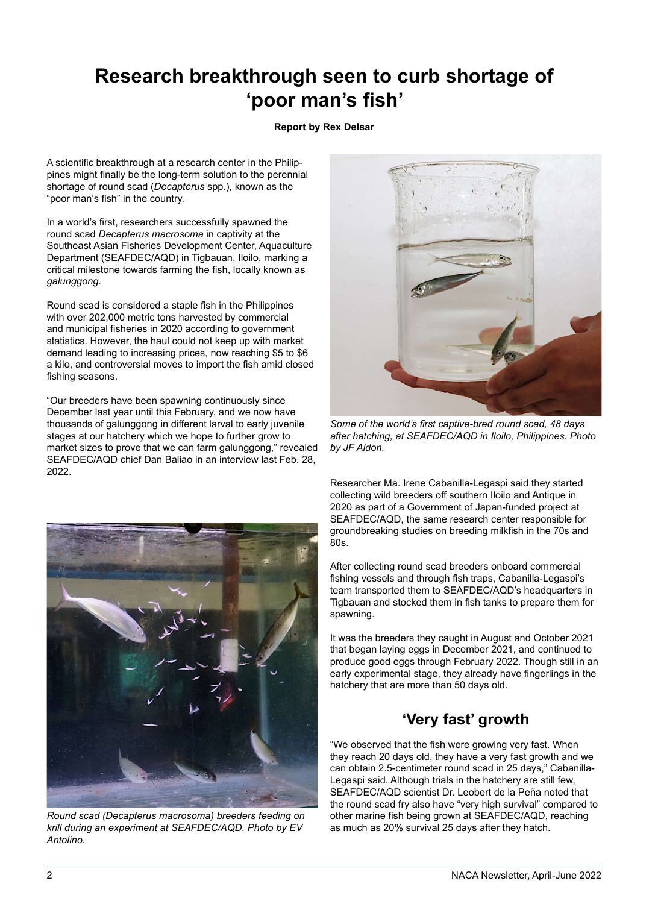## **Research breakthrough seen to curb shortage of**'poor man's fish'

#### **Report by Rex Delsar**

A scientific breakthrough at a research center in the Philippines might finally be the long-term solution to the perennial shortage of round scad (*Decapterus* spp.), known as the "poor man's fish" in the country.

In a world's first, researchers successfully spawned the round scad *Decapterus macrosoma* in captivity at the Southeast Asian Fisheries Development Center, Aquaculture Department (SEAFDEC/AQD) in Tigbauan, Iloilo, marking a critical milestone towards farming the fish, locally known as *galunggong*.

Round scad is considered a staple fish in the Philippines with over 202,000 metric tons harvested by commercial and municipal fisheries in 2020 according to government statistics. However, the haul could not keep up with market demand leading to increasing prices, now reaching \$5 to \$6 a kilo, and controversial moves to import the fish amid closed fishing seasons.

"Our breeders have been spawning continuously since December last year until this February, and we now have thousands of galunggong in different larval to early juvenile stages at our hatchery which we hope to further grow to market sizes to prove that we can farm galunggong," revealed SEAFDEC/AQD chief Dan Baliao in an interview last Feb. 28, 2022.



*Round scad (Decapterus macrosoma) breeders feeding on krill during an experiment at SEAFDEC/AQD. Photo by EV Antolino.*



Some of the world's first captive-bred round scad, 48 days *after hatching, at SEAFDEC/AQD in Iloilo, Philippines. Photo by JF Aldon.*

Researcher Ma. Irene Cabanilla-Legaspi said they started collecting wild breeders off southern Iloilo and Antique in 2020 as part of a Government of Japan-funded project at SEAFDEC/AQD, the same research center responsible for groundbreaking studies on breeding milkfish in the 70s and 80s.

After collecting round scad breeders onboard commercial fishing vessels and through fish traps, Cabanilla-Legaspi's team transported them to SEAFDEC/AQD's headquarters in Tigbauan and stocked them in fish tanks to prepare them for spawning.

It was the breeders they caught in August and October 2021 that began laying eggs in December 2021, and continued to produce good eggs through February 2022. Though still in an early experimental stage, they already have fingerlings in the hatchery that are more than 50 days old.

### **'Very fast' growth**

"We observed that the fish were growing very fast. When they reach 20 days old, they have a very fast growth and we can obtain 2.5-centimeter round scad in 25 days," Cabanilla-Legaspi said. Although trials in the hatchery are still few, SEAFDEC/AQD scientist Dr. Leobert de la Peña noted that the round scad fry also have "very high survival" compared to other marine fish being grown at SEAFDEC/AQD, reaching as much as 20% survival 25 days after they hatch.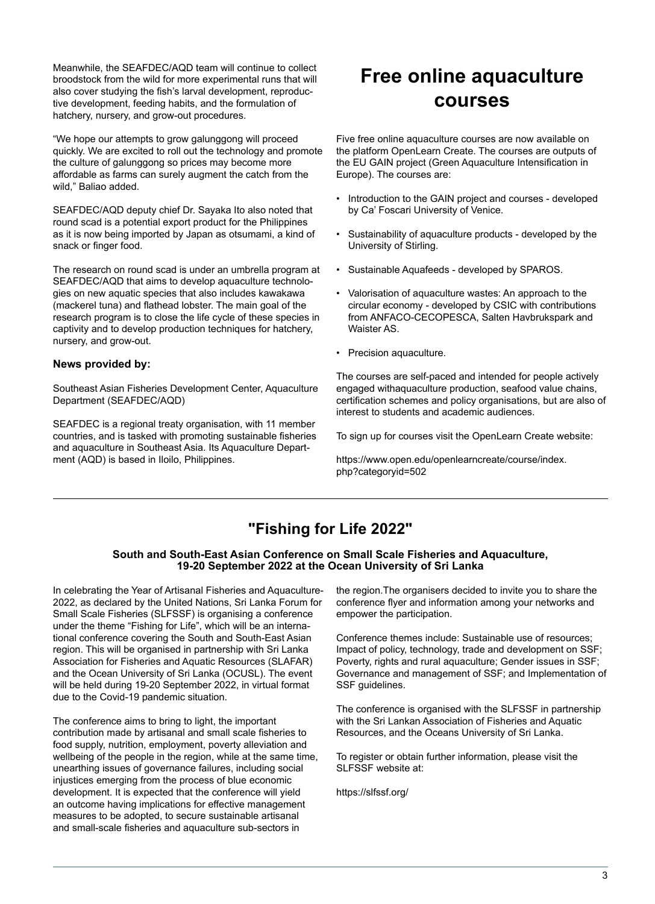Meanwhile, the SEAFDEC/AQD team will continue to collect broodstock from the wild for more experimental runs that will also cover studying the fish's larval development, reproductive development, feeding habits, and the formulation of hatchery, nursery, and grow-out procedures.

"We hope our attempts to grow galunggong will proceed quickly. We are excited to roll out the technology and promote the culture of galunggong so prices may become more affordable as farms can surely augment the catch from the wild," Baliao added.

SEAFDEC/AQD deputy chief Dr. Sayaka Ito also noted that round scad is a potential export product for the Philippines as it is now being imported by Japan as otsumami, a kind of snack or finger food.

The research on round scad is under an umbrella program at SEAFDEC/AQD that aims to develop aquaculture technologies on new aquatic species that also includes kawakawa (mackerel tuna) and flathead lobster. The main goal of the research program is to close the life cycle of these species in captivity and to develop production techniques for hatchery, nursery, and grow-out.

#### **News provided by:**

Southeast Asian Fisheries Development Center, Aquaculture Department (SEAFDEC/AQD)

SEAFDEC is a regional treaty organisation, with 11 member countries, and is tasked with promoting sustainable fisheries and aquaculture in Southeast Asia. Its Aquaculture Department (AQD) is based in Iloilo, Philippines.

## **Free online aquaculture courses**

Five free online aquaculture courses are now available on the platform OpenLearn Create. The courses are outputs of the EU GAIN project (Green Aquaculture Intensification in Europe). The courses are:

- Introduction to the GAIN project and courses developed by Ca' Foscari University of Venice.
- Sustainability of aquaculture products developed by the University of Stirling.
- Sustainable Aquafeeds developed by SPAROS.
- Valorisation of aquaculture wastes: An approach to the circular economy - developed by CSIC with contributions from ANFACO-CECOPESCA, Salten Havbrukspark and Waister AS.
- Precision aquaculture.

The courses are self-paced and intended for people actively engaged withaquaculture production, seafood value chains, certification schemes and policy organisations, but are also of interest to students and academic audiences.

To sign up for courses visit the OpenLearn Create website:

https://www.open.edu/openlearncreate/course/index.php?categoryid=502

### **"Fishing for Life 2022"**

#### **South and South-East Asian Conference on Small Scale Fisheries and Aquaculture, 19-20 September 2022 at the Ocean University of Sri Lanka**

In celebrating the Year of Artisanal Fisheries and Aquaculture-2022, as declared by the United Nations, Sri Lanka Forum for Small Scale Fisheries (SLFSSF) is organising a conference under the theme "Fishing for Life", which will be an international conference covering the South and South-East Asian region. This will be organised in partnership with Sri Lanka Association for Fisheries and Aquatic Resources (SLAFAR) and the Ocean University of Sri Lanka (OCUSL). The event will be held during 19-20 September 2022, in virtual format due to the Covid-19 pandemic situation.

The conference aims to bring to light, the important contribution made by artisanal and small scale fisheries to food supply, nutrition, employment, poverty alleviation and wellbeing of the people in the region, while at the same time, unearthing issues of governance failures, including social injustices emerging from the process of blue economic development. It is expected that the conference will yield an outcome having implications for effective management measures to be adopted, to secure sustainable artisanal and small-scale fisheries and aquaculture sub-sectors in

the region.The organisers decided to invite you to share the conference flyer and information among your networks and empower the participation.

Conference themes include: Sustainable use of resources; Impact of policy, technology, trade and development on SSF; Poverty, rights and rural aquaculture; Gender issues in SSF; Governance and management of SSF; and Implementation of SSF guidelines.

The conference is organised with the SLFSSF in partnership with the Sri Lankan Association of Fisheries and Aquatic Resources, and the Oceans University of Sri Lanka.

To register or obtain further information, please visit the SLFSSF website at:

https://slfssf.org/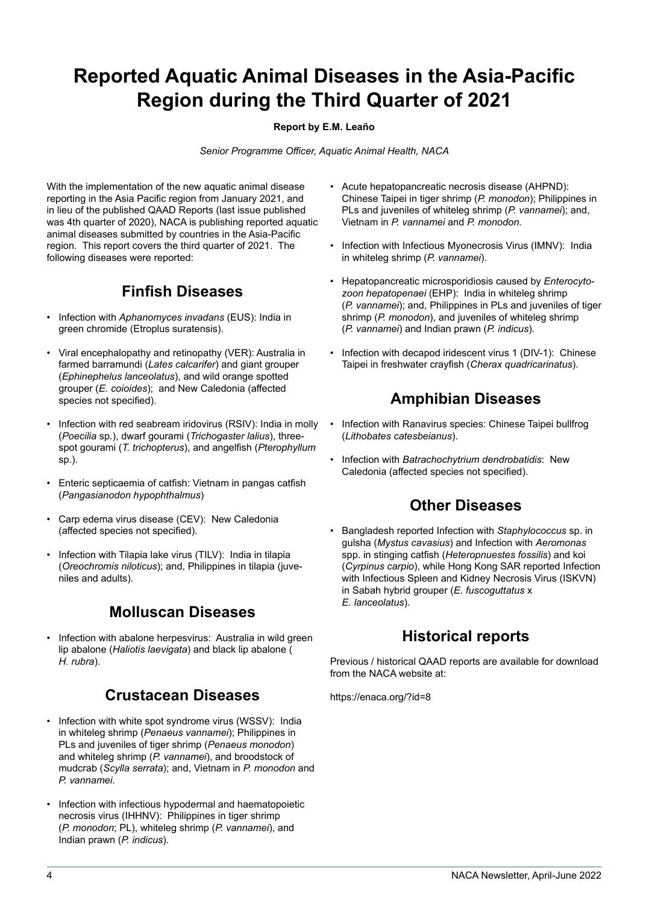## **Reported Aquatic Animal Diseases in the Asia-Pacific Region during the Third Quarter of 2021**

#### **Report by E.M. Leaño**

Senior Programme Officer, Aquatic Animal Health, NACA

With the implementation of the new aquatic animal disease reporting in the Asia Pacific region from January 2021, and in lieu of the published QAAD Reports (last issue published was 4th quarter of 2020), NACA is publishing reported aquatic animal diseases submitted by countries in the Asia-Pacific region. This report covers the third quarter of 2021. The following diseases were reported:

### **Finfish Diseases**

- Infection with *Aphanomyces invadans* (EUS): India in green chromide (Etroplus suratensis).
- Viral encephalopathy and retinopathy (VER): Australia in farmed barramundi (*Lates calcarifer*) and giant grouper (*Ephinephelus lanceolatus*), and wild orange spotted grouper (*E. coioides*); and New Caledonia (affected species not specified).
- Infection with red seabream iridovirus (RSIV): India in molly (*Poecilia* sp.), dwarf gourami (*Trichogaster lalius*), threespot gourami (*T. trichopterus*), and angelfish (*Pterophyllum* sp.).
- Enteric septicaemia of catfish: Vietnam in pangas catfish (*Pangasianodon hypophthalmus*)
- Carp edema virus disease (CEV): New Caledonia (affected species not specified).
- Infection with Tilapia lake virus (TILV): India in tilapia (*Oreochromis niloticus*); and, Philippines in tilapia (juveniles and adults).

### **Molluscan Diseases**

• Infection with abalone herpesvirus: Australia in wild green lip abalone (*Haliotis laevigata*) and black lip abalone ( *H. rubra*).

### **Crustacean Diseases**

- Infection with white spot syndrome virus (WSSV): India in whiteleg shrimp (*Penaeus vannamei*); Philippines in PLs and juveniles of tiger shrimp (*Penaeus monodon*) and whiteleg shrimp (*P. vannamei*), and broodstock of mudcrab (*Scylla serrata*); and, Vietnam in *P. monodon* and *P. vannamei*.
- Infection with infectious hypodermal and haematopoietic necrosis virus (IHHNV): Philippines in tiger shrimp (*P. monodon*; PL), whiteleg shrimp (*P. vannamei*), and Indian prawn (*P. indicus*).
- Acute hepatopancreatic necrosis disease (AHPND): Chinese Taipei in tiger shrimp (*P. monodon*); Philippines in PLs and juveniles of whiteleg shrimp (*P. vannamei*); and, Vietnam in *P. vannamei* and *P. monodon*.
- Infection with Infectious Myonecrosis Virus (IMNV): India in whiteleg shrimp (*P. vannamei*).
- Hepatopancreatic microsporidiosis caused by *Enterocytozoon hepatopenaei* (EHP): India in whiteleg shrimp (*P. vannamei*); and, Philippines in PLs and juveniles of tiger shrimp (*P. monodon*), and juveniles of whiteleg shrimp(*P. vannamei*) and Indian prawn (*P. indicus*).
- Infection with decapod iridescent virus 1 (DIV-1): Chinese Taipei in freshwater crayfish (*Cherax quadricarinatus*).

### **Amphibian Diseases**

- Infection with Ranavirus species: Chinese Taipei bullfrog (*Lithobates catesbeianus*).
- Infection with *Batrachochytrium dendrobatidis*: New Caledonia (affected species not specified).

### **Other Diseases**

• Bangladesh reported Infection with *Staphylococcus* sp. in gulsha (*Mystus cavasius*) and Infection with *Aeromonas*spp. in stinging catfish (*Heteropnuestes fossilis*) and koi (*Cyrpinus carpio*), while Hong Kong SAR reported Infection with Infectious Spleen and Kidney Necrosis Virus (ISKVN) in Sabah hybrid grouper (*E. fuscoguttatus* x *E. lanceolatus*).

### **Historical reports**

Previous / historical QAAD reports are available for download from the NACA website at:

https://enaca.org/?id=8